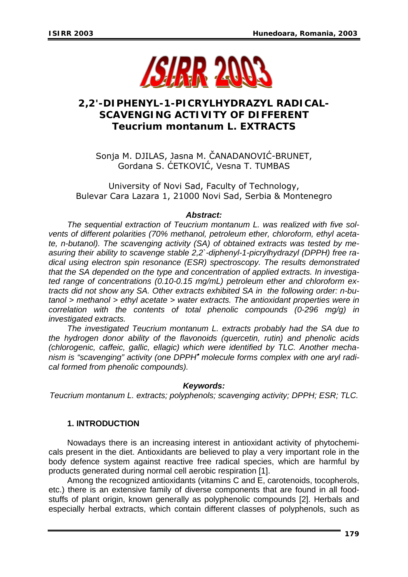

# **2,2'-DIPHENYL-1-PICRYLHYDRAZYL RADICAL-SCAVENGING ACTIVITY OF DIFFERENT**  *Teucrium montanum* **L. EXTRACTS**

Sonja M. DJILAS, Jasna M. ČANADANOVIĆ-BRUNET, Gordana S. ĆETKOVIĆ, Vesna T. TUMBAS

University of Novi Sad, Faculty of Technology, Bulevar Cara Lazara 1, 21000 Novi Sad, Serbia & Montenegro

## *Abstract:*

 *The sequential extraction of Teucrium montanum L. was realized with five solvents of different polarities (70% methanol, petroleum ether, chloroform, ethyl acetate, n-butanol). The scavenging activity (SA) of obtained extracts was tested by measuring their ability to scavenge stable 2,2`-diphenyl-1-picrylhydrazyl (DPPH) free radical using electron spin resonance (ESR) spectroscopy. The results demonstrated that the SA depended on the type and concentration of applied extracts. In investigated range of concentrations (0.10-0.15 mg/mL) petroleum ether and chloroform extracts did not show any SA. Other extracts exhibited SA in the following order: n-butanol > methanol > ethyl acetate > water extracts. The antioxidant properties were in correlation with the contents of total phenolic compounds (0-296 mg/g) in investigated extracts.*

 *The investigated Teucrium montanum L. extracts probably had the SA due to the hydrogen donor ability of the flavonoids (quercetin, rutin) and phenolic acids (chlorogenic, caffeic, gallic, ellagic) which were identified by TLC. Another mechanism is "scavenging" activity (one DPPH*• *molecule forms complex with one aryl radical formed from phenolic compounds).* 

#### *Keywords:*

*Teucrium montanum L. extracts; polyphenols; scavenging activity; DPPH; ESR; TLC.*

# **1. INTRODUCTION**

 Nowadays there is an increasing interest in antioxidant activity of phytochemicals present in the diet. Antioxidants are believed to play a very important role in the body defence system against reactive free radical species, which are harmful by products generated during normal cell aerobic respiration [1].

 Among the recognized antioxidants (vitamins C and E, carotenoids, tocopherols, etc.) there is an extensive family of diverse components that are found in all foodstuffs of plant origin, known generally as polyphenolic compounds [2]. Herbals and especially herbal extracts, which contain different classes of polyphenols, such as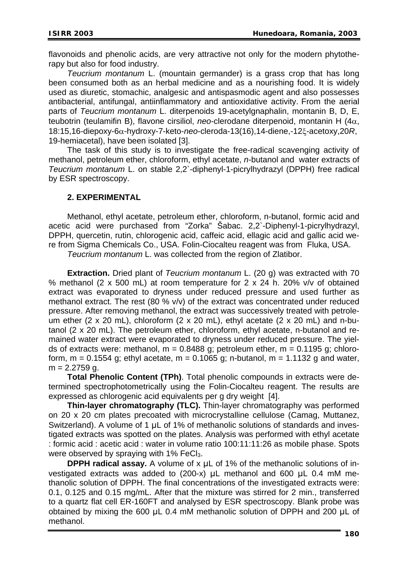flavonoids and phenolic acids, are very attractive not only for the modern phytotherapy but also for food industry.

 *Teucrium montanum* L. (mountain germander) is a grass crop that has long been consumed both as an herbal medicine and as a nourishing food. It is widely used as diuretic, stomachic, analgesic and antispasmodic agent and also possesses antibacterial, antifungal, antiinflammatory and antioxidative activity. From the aerial parts of *Teucrium montanum* L. diterpenoids 19-acetylgnaphalin, montanin B, D, E, teubotrin (teulamifin B), flavone cirsiliol, *neo*-clerodane diterpenoid, montanin H (4α, 18:15,16-diepoxy-6α-hydroxy-7-keto-*neo*-cleroda-13(16),14-diene,-12ξ-acetoxy,20*R*, 19-hemiacetal), have been isolated [3].

The task of this study is to investigate the free-radical scavenging activity of methanol, petroleum ether, chloroform, ethyl acetate, *n*-butanol and water extracts of *Teucrium montanum* L. on stable 2,2`-diphenyl-1-picrylhydrazyl (DPPH) free radical by ESR spectroscopy.

#### **2. EXPERIMENTAL**

 Methanol, ethyl acetate, petroleum ether, chloroform, n-butanol, formic acid and acetic acid were purchased from "Zorka" Šabac. 2,2`-Diphenyl-1-picrylhydrazyl, DPPH, quercetin, rutin, chlorogenic acid, caffeic acid, ellagic acid and gallic acid were from Sigma Chemicals Co., USA. Folin-Ciocalteu reagent was from Fluka, USA.

*Teucrium montanum* L. was collected from the region of Zlatibor.

**Extraction.** Dried plant of *Teucrium montanum* L. (20 g) was extracted with 70 % methanol (2 x 500 mL) at room temperature for 2 x 24 h. 20% v/v of obtained extract was evaporated to dryness under reduced pressure and used further as methanol extract. The rest (80 % v/v) of the extract was concentrated under reduced pressure. After removing methanol, the extract was successively treated with petroleum ether (2 x 20 mL), chloroform (2 x 20 mL), ethyl acetate (2 x 20 mL) and n-butanol (2 x 20 mL). The petroleum ether, chloroform, ethyl acetate, n-butanol and remained water extract were evaporated to dryness under reduced pressure. The yields of extracts were: methanol,  $m = 0.8488$  g; petroleum ether,  $m = 0.1195$  g; chloroform,  $m = 0.1554$  g; ethyl acetate,  $m = 0.1065$  g; n-butanol,  $m = 1.1132$  g and water,  $m = 2.2759$  g.

**Total Phenolic Content (TPh)**. Total phenolic compounds in extracts were determined spectrophotometrically using the Folin-Ciocalteu reagent. The results are expressed as chlorogenic acid equivalents per g dry weight [4].

**Thin-layer chromatography (TLC).** Thin-layer chromatography was performed on 20 x 20 cm plates precoated with microcrystalline cellulose (Camag, Muttanez, Switzerland). A volume of 1 μL of 1% of methanolic solutions of standards and investigated extracts was spotted on the plates. Analysis was performed with ethyl acetate : formic acid : acetic acid : water in volume ratio 100:11:11:26 as mobile phase. Spots were observed by spraying with  $1\%$  FeCl<sub>3</sub>.

 **DPPH radical assay.** A volume of x μL of 1% of the methanolic solutions of investigated extracts was added to (200-x) μL methanol and 600 μL 0.4 mM methanolic solution of DPPH. The final concentrations of the investigated extracts were: 0.1, 0.125 and 0.15 mg/mL. After that the mixture was stirred for 2 min., transferred to a quartz flat cell ER-160FT and analysed by ESR spectroscopy. Blank probe was obtained by mixing the 600 μL 0.4 mM methanolic solution of DPPH and 200 μL of methanol.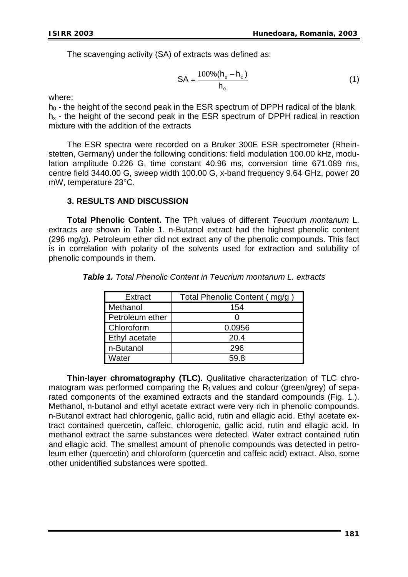The scavenging activity (SA) of extracts was defined as:

$$
SA = \frac{100\% (h_0 - h_x)}{h_0}
$$
 (1)

where:

 $h_0$  - the height of the second peak in the ESR spectrum of DPPH radical of the blank  $h<sub>x</sub>$  - the height of the second peak in the ESR spectrum of DPPH radical in reaction mixture with the addition of the extracts

 The ESR spectra were recorded on a Bruker 300E ESR spectrometer (Rheinstetten, Germany) under the following conditions: field modulation 100.00 kHz, modulation amplitude 0.226 G, time constant 40.96 ms, conversion time 671.089 ms, centre field 3440.00 G, sweep width 100.00 G, x-band frequency 9.64 GHz, power 20 mW, temperature 23°C.

## **3. RESULTS AND DISCUSSION**

**Total Phenolic Content.** The TPh values of different *Teucrium montanum* L. extracts are shown in Table 1. n-Butanol extract had the highest phenolic content (296 mg/g). Petroleum ether did not extract any of the phenolic compounds. This fact is in correlation with polarity of the solvents used for extraction and solubility of phenolic compounds in them.

| Extract              | Total Phenolic Content (mg/g) |
|----------------------|-------------------------------|
| Methanol             | 154                           |
| Petroleum ether      |                               |
| <b>Chloroform</b>    | 0.0956                        |
| <b>Ethyl acetate</b> | 20.4                          |
| n-Butanol            | 296                           |
| Water                | 59 R                          |

*Table 1. Total Phenolic Content in Teucrium montanum L. extracts* 

**Thin-layer chromatography (TLC).** Qualitative characterization of TLC chromatogram was performed comparing the  $R_f$  values and colour (green/grey) of separated components of the examined extracts and the standard compounds (Fig. 1.). Methanol, n-butanol and ethyl acetate extract were very rich in phenolic compounds. n-Butanol extract had chlorogenic, gallic acid, rutin and ellagic acid. Ethyl acetate extract contained quercetin, caffeic, chlorogenic, gallic acid, rutin and ellagic acid. In methanol extract the same substances were detected. Water extract contained rutin and ellagic acid. The smallest amount of phenolic compounds was detected in petroleum ether (quercetin) and chloroform (quercetin and caffeic acid) extract. Also, some other unidentified substances were spotted.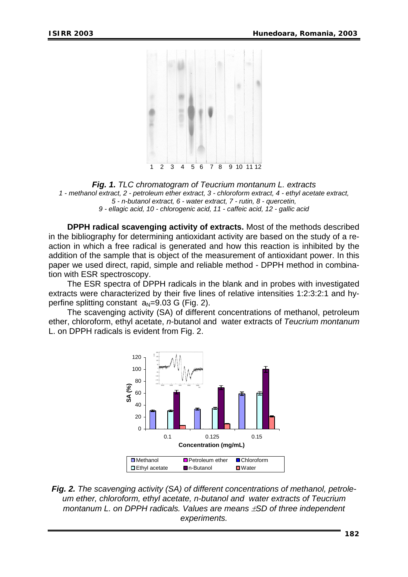

*Fig. 1. TLC chromatogram of Teucrium montanum L. extracts 1 - methanol extract, 2 - petroleum ether extract, 3 - chloroform extract, 4 - ethyl acetate extract, 5 - n-butanol extract, 6 - water extract, 7 - rutin, 8 - quercetin, 9 - ellagic acid, 10 - chlorogenic acid, 11 - caffeic acid, 12 - gallic acid* 

**DPPH radical scavenging activity of extracts.** Most of the methods described in the bibliography for determining antioxidant activity are based on the study of a reaction in which a free radical is generated and how this reaction is inhibited by the addition of the sample that is object of the measurement of antioxidant power. In this paper we used direct, rapid, simple and reliable method - DPPH method in combination with ESR spectroscopy.

 The ESR spectra of DPPH radicals in the blank and in probes with investigated extracts were characterized by their five lines of relative intensities 1:2:3:2:1 and hyperfine splitting constant  $a_N=9.03$  G (Fig. 2).

 The scavenging activity (SA) of different concentrations of methanol, petroleum ether, chloroform, ethyl acetate, *n*-butanol and water extracts of *Teucrium montanum* L. on DPPH radicals is evident from Fig. 2.



*Fig. 2. The scavenging activity (SA) of different concentrations of methanol, petroleum ether, chloroform, ethyl acetate, n-butanol and water extracts of Teucrium montanum L. on DPPH radicals. Values are means* ±*SD of three independent experiments.*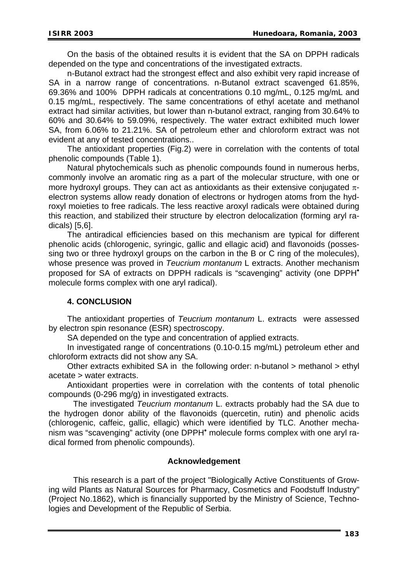On the basis of the obtained results it is evident that the SA on DPPH radicals depended on the type and concentrations of the investigated extracts.

 n-Butanol extract had the strongest effect and also exhibit very rapid increase of SA in a narrow range of concentrations. n-Butanol extract scavenged 61.85%, 69.36% and 100% DPPH radicals at concentrations 0.10 mg/mL, 0.125 mg/mL and 0.15 mg/mL, respectively. The same concentrations of ethyl acetate and methanol extract had similar activities, but lower than n-butanol extract, ranging from 30.64% to 60% and 30.64% to 59.09%, respectively. The water extract exhibited much lower SA, from 6.06% to 21.21%. SA of petroleum ether and chloroform extract was not evident at any of tested concentrations..

 The antioxidant properties (Fig.2) were in correlation with the contents of total phenolic compounds (Table 1).

 Natural phytochemicals such as phenolic compounds found in numerous herbs, commonly involve an aromatic ring as a part of the molecular structure, with one or more hydroxyl groups. They can act as antioxidants as their extensive conjugated  $\pi$ electron systems allow ready donation of electrons or hydrogen atoms from the hydroxyl moieties to free radicals. The less reactive aroxyl radicals were obtained during this reaction, and stabilized their structure by electron delocalization (forming aryl radicals) [5,6].

 The antiradical efficiencies based on this mechanism are typical for different phenolic acids (chlorogenic, syringic, gallic and ellagic acid) and flavonoids (possessing two or three hydroxyl groups on the carbon in the B or C ring of the molecules), whose presence was proved in *Teucrium montanum* L extracts. Another mechanism proposed for SA of extracts on DPPH radicals is "scavenging" activity (one DPPH<sup>\*</sup> molecule forms complex with one aryl radical).

#### **4. CONCLUSION**

 The antioxidant properties of *Teucrium montanum* L. extracts were assessed by electron spin resonance (ESR) spectroscopy.

SA depended on the type and concentration of applied extracts.

 In investigated range of concentrations (0.10-0.15 mg/mL) petroleum ether and chloroform extracts did not show any SA.

 Other extracts exhibited SA in the following order: n-butanol > methanol > ethyl acetate > water extracts.

 Antioxidant properties were in correlation with the contents of total phenolic compounds (0-296 mg/g) in investigated extracts.

 The investigated *Teucrium montanum* L. extracts probably had the SA due to the hydrogen donor ability of the flavonoids (quercetin, rutin) and phenolic acids (chlorogenic, caffeic, gallic, ellagic) which were identified by TLC. Another mechanism was "scavenging" activity (one DPPH<sup>•</sup> molecule forms complex with one aryl radical formed from phenolic compounds).

#### **Acknowledgement**

This research is a part of the project "Biologically Active Constituents of Growing wild Plants as Natural Sources for Pharmacy, Cosmetics and Foodstuff Industry" (Project No.1862), which is financially supported by the Ministry of Science, Technologies and Development of the Republic of Serbia.